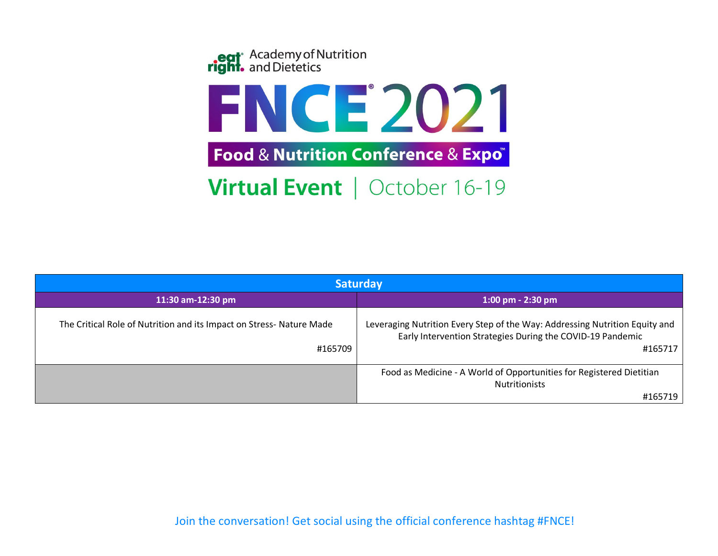

| <b>Saturday</b>                                                                |                                                                                                                                                      |  |  |
|--------------------------------------------------------------------------------|------------------------------------------------------------------------------------------------------------------------------------------------------|--|--|
| 11:30 am-12:30 pm                                                              | $1:00$ pm - 2:30 pm                                                                                                                                  |  |  |
| The Critical Role of Nutrition and its Impact on Stress-Nature Made<br>#165709 | Leveraging Nutrition Every Step of the Way: Addressing Nutrition Equity and<br>Early Intervention Strategies During the COVID-19 Pandemic<br>#165717 |  |  |
|                                                                                | Food as Medicine - A World of Opportunities for Registered Dietitian<br><b>Nutritionists</b>                                                         |  |  |
|                                                                                | #165719                                                                                                                                              |  |  |

Join the conversation! Get social using the official conference hashtag #FNCE!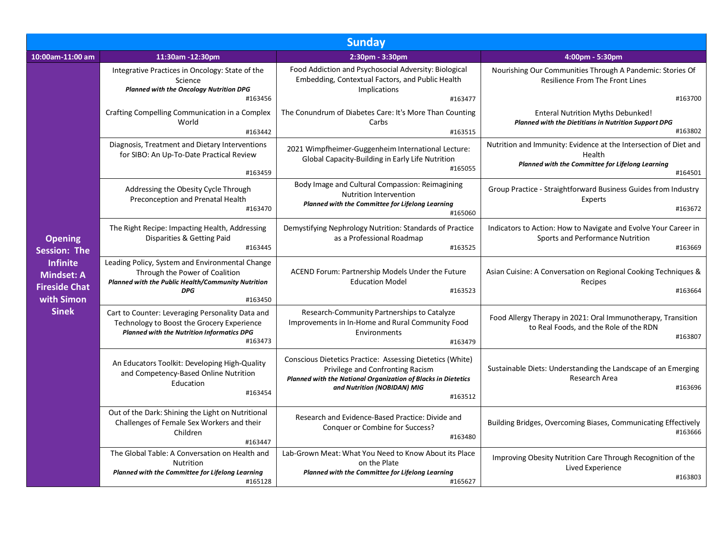| <b>Sunday</b>                                                                                                                       |                                                                                                                                                                                                                                  |                                                                                                                                                                                                          |                                                                                                                                           |  |  |  |
|-------------------------------------------------------------------------------------------------------------------------------------|----------------------------------------------------------------------------------------------------------------------------------------------------------------------------------------------------------------------------------|----------------------------------------------------------------------------------------------------------------------------------------------------------------------------------------------------------|-------------------------------------------------------------------------------------------------------------------------------------------|--|--|--|
| 10:00am-11:00 am                                                                                                                    | 11:30am -12:30pm                                                                                                                                                                                                                 | 2:30pm - 3:30pm                                                                                                                                                                                          | 4:00pm - 5:30pm                                                                                                                           |  |  |  |
|                                                                                                                                     | Integrative Practices in Oncology: State of the<br>Science<br><b>Planned with the Oncology Nutrition DPG</b><br>#163456                                                                                                          | Food Addiction and Psychosocial Adversity: Biological<br>Embedding, Contextual Factors, and Public Health<br>Implications<br>#163477                                                                     | Nourishing Our Communities Through A Pandemic: Stories Of<br>Resilience From The Front Lines<br>#163700                                   |  |  |  |
|                                                                                                                                     | Crafting Compelling Communication in a Complex<br>World<br>#163442                                                                                                                                                               | The Conundrum of Diabetes Care: It's More Than Counting<br>Carbs<br>#163515                                                                                                                              | Enteral Nutrition Myths Debunked!<br><b>Planned with the Dietitians in Nutrition Support DPG</b><br>#163802                               |  |  |  |
|                                                                                                                                     | Diagnosis, Treatment and Dietary Interventions<br>for SIBO: An Up-To-Date Practical Review<br>#163459                                                                                                                            | 2021 Wimpfheimer-Guggenheim International Lecture:<br>Global Capacity-Building in Early Life Nutrition<br>#165055                                                                                        | Nutrition and Immunity: Evidence at the Intersection of Diet and<br>Health<br>Planned with the Committee for Lifelong Learning<br>#164501 |  |  |  |
|                                                                                                                                     | Body Image and Cultural Compassion: Reimagining<br>Addressing the Obesity Cycle Through<br>Nutrition Intervention<br>Preconception and Prenatal Health<br>Planned with the Committee for Lifelong Learning<br>#163470<br>#165060 | Group Practice - Straightforward Business Guides from Industry<br>Experts<br>#163672                                                                                                                     |                                                                                                                                           |  |  |  |
| <b>Opening</b><br><b>Session: The</b><br><b>Infinite</b><br><b>Mindset: A</b><br><b>Fireside Chat</b><br>with Simon<br><b>Sinek</b> | The Right Recipe: Impacting Health, Addressing<br>Disparities & Getting Paid<br>#163445                                                                                                                                          | Demystifying Nephrology Nutrition: Standards of Practice<br>as a Professional Roadmap<br>#163525                                                                                                         | Indicators to Action: How to Navigate and Evolve Your Career in<br>Sports and Performance Nutrition<br>#163669                            |  |  |  |
|                                                                                                                                     | Leading Policy, System and Environmental Change<br>Through the Power of Coalition<br>Planned with the Public Health/Community Nutrition<br><b>DPG</b><br>#163450                                                                 | ACEND Forum: Partnership Models Under the Future<br><b>Education Model</b><br>#163523                                                                                                                    | Asian Cuisine: A Conversation on Regional Cooking Techniques &<br>Recipes<br>#163664                                                      |  |  |  |
|                                                                                                                                     | Cart to Counter: Leveraging Personality Data and<br>Technology to Boost the Grocery Experience<br><b>Planned with the Nutrition Informatics DPG</b><br>#163473                                                                   | Research-Community Partnerships to Catalyze<br>Improvements in In-Home and Rural Community Food<br>Environments<br>#163479                                                                               | Food Allergy Therapy in 2021: Oral Immunotherapy, Transition<br>to Real Foods, and the Role of the RDN<br>#163807                         |  |  |  |
|                                                                                                                                     | An Educators Toolkit: Developing High-Quality<br>and Competency-Based Online Nutrition<br>Education<br>#163454                                                                                                                   | Conscious Dietetics Practice: Assessing Dietetics (White)<br>Privilege and Confronting Racism<br>Planned with the National Organization of Blacks in Dietetics<br>and Nutrition (NOBIDAN) MIG<br>#163512 | Sustainable Diets: Understanding the Landscape of an Emerging<br>Research Area<br>#163696                                                 |  |  |  |
|                                                                                                                                     | Out of the Dark: Shining the Light on Nutritional<br>Challenges of Female Sex Workers and their<br>Children<br>#163447                                                                                                           | Research and Evidence-Based Practice: Divide and<br>Conquer or Combine for Success?<br>#163480                                                                                                           | Building Bridges, Overcoming Biases, Communicating Effectively<br>#163666                                                                 |  |  |  |
|                                                                                                                                     | The Global Table: A Conversation on Health and<br><b>Nutrition</b><br>Planned with the Committee for Lifelong Learning<br>#165128                                                                                                | Lab-Grown Meat: What You Need to Know About its Place<br>on the Plate<br>Planned with the Committee for Lifelong Learning<br>#165627                                                                     | Improving Obesity Nutrition Care Through Recognition of the<br>Lived Experience<br>#163803                                                |  |  |  |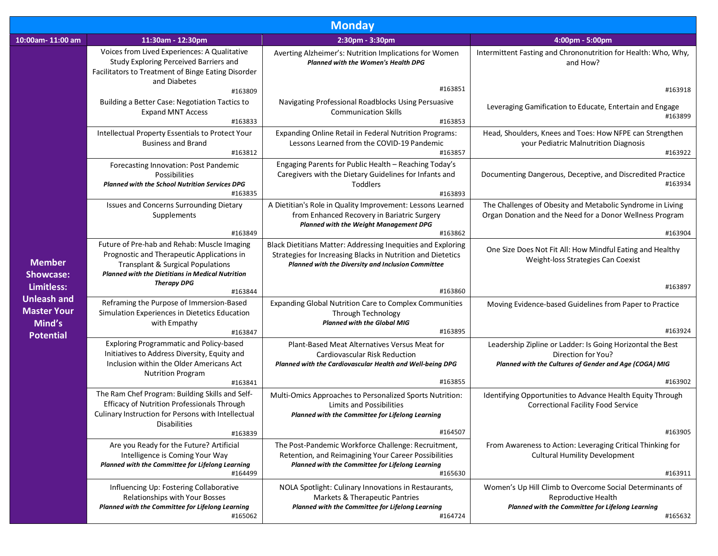| <b>Monday</b>                                                                                         |                                                                                                                                                                                                      |                                                                                                                                                                                   |                                                                                                                                                |  |  |  |
|-------------------------------------------------------------------------------------------------------|------------------------------------------------------------------------------------------------------------------------------------------------------------------------------------------------------|-----------------------------------------------------------------------------------------------------------------------------------------------------------------------------------|------------------------------------------------------------------------------------------------------------------------------------------------|--|--|--|
| 10:00am-11:00 am                                                                                      | 11:30am - 12:30pm                                                                                                                                                                                    | 2:30pm - 3:30pm                                                                                                                                                                   | 4:00pm - 5:00pm                                                                                                                                |  |  |  |
| <b>Member</b><br><b>Showcase:</b><br>Limitless:<br><b>Unleash and</b><br><b>Master Your</b><br>Mind's | Voices from Lived Experiences: A Qualitative<br>Study Exploring Perceived Barriers and<br>Facilitators to Treatment of Binge Eating Disorder<br>and Diabetes                                         | Averting Alzheimer's: Nutrition Implications for Women<br>Planned with the Women's Health DPG                                                                                     | Intermittent Fasting and Chrononutrition for Health: Who, Why,<br>and How?                                                                     |  |  |  |
|                                                                                                       | #163809                                                                                                                                                                                              | #163851                                                                                                                                                                           | #163918                                                                                                                                        |  |  |  |
|                                                                                                       | Building a Better Case: Negotiation Tactics to<br><b>Expand MNT Access</b><br>#163833                                                                                                                | Navigating Professional Roadblocks Using Persuasive<br><b>Communication Skills</b><br>#163853                                                                                     | Leveraging Gamification to Educate, Entertain and Engage<br>#163899                                                                            |  |  |  |
|                                                                                                       | Intellectual Property Essentials to Protect Your<br><b>Business and Brand</b><br>#163812                                                                                                             | Expanding Online Retail in Federal Nutrition Programs:<br>Lessons Learned from the COVID-19 Pandemic<br>#163857                                                                   | Head, Shoulders, Knees and Toes: How NFPE can Strengthen<br>your Pediatric Malnutrition Diagnosis<br>#163922                                   |  |  |  |
|                                                                                                       | Forecasting Innovation: Post Pandemic<br>Possibilities<br><b>Planned with the School Nutrition Services DPG</b><br>#163835                                                                           | Engaging Parents for Public Health - Reaching Today's<br>Caregivers with the Dietary Guidelines for Infants and<br>Toddlers<br>#163893                                            | Documenting Dangerous, Deceptive, and Discredited Practice<br>#163934                                                                          |  |  |  |
|                                                                                                       | Issues and Concerns Surrounding Dietary<br>Supplements<br>#163849                                                                                                                                    | A Dietitian's Role in Quality Improvement: Lessons Learned<br>from Enhanced Recovery in Bariatric Surgery<br>Planned with the Weight Management DPG<br>#163862                    | The Challenges of Obesity and Metabolic Syndrome in Living<br>Organ Donation and the Need for a Donor Wellness Program<br>#163904              |  |  |  |
|                                                                                                       | Future of Pre-hab and Rehab: Muscle Imaging<br>Prognostic and Therapeutic Applications in<br><b>Transplant &amp; Surgical Populations</b><br><b>Planned with the Dietitians in Medical Nutrition</b> | Black Dietitians Matter: Addressing Inequities and Exploring<br>Strategies for Increasing Blacks in Nutrition and Dietetics<br>Planned with the Diversity and Inclusion Committee | One Size Does Not Fit All: How Mindful Eating and Healthy<br>Weight-loss Strategies Can Coexist                                                |  |  |  |
|                                                                                                       | <b>Therapy DPG</b><br>#163844                                                                                                                                                                        | #163860                                                                                                                                                                           | #163897                                                                                                                                        |  |  |  |
|                                                                                                       | Reframing the Purpose of Immersion-Based<br>Simulation Experiences in Dietetics Education<br>with Empathy                                                                                            | <b>Expanding Global Nutrition Care to Complex Communities</b><br>Through Technology<br><b>Planned with the Global MIG</b>                                                         | Moving Evidence-based Guidelines from Paper to Practice                                                                                        |  |  |  |
| <b>Potential</b>                                                                                      | #163847                                                                                                                                                                                              | #163895                                                                                                                                                                           | #163924                                                                                                                                        |  |  |  |
|                                                                                                       | <b>Exploring Programmatic and Policy-based</b><br>Initiatives to Address Diversity, Equity and<br>Inclusion within the Older Americans Act<br><b>Nutrition Program</b>                               | Plant-Based Meat Alternatives Versus Meat for<br>Cardiovascular Risk Reduction<br>Planned with the Cardiovascular Health and Well-being DPG                                       | Leadership Zipline or Ladder: Is Going Horizontal the Best<br>Direction for You?<br>Planned with the Cultures of Gender and Age (COGA) MIG     |  |  |  |
|                                                                                                       | #163841<br>The Ram Chef Program: Building Skills and Self-                                                                                                                                           | #163855                                                                                                                                                                           | #163902                                                                                                                                        |  |  |  |
|                                                                                                       | <b>Efficacy of Nutrition Professionals Through</b><br>Culinary Instruction for Persons with Intellectual<br><b>Disabilities</b>                                                                      | Multi-Omics Approaches to Personalized Sports Nutrition:<br><b>Limits and Possibilities</b><br>Planned with the Committee for Lifelong Learning                                   | Identifying Opportunities to Advance Health Equity Through<br><b>Correctional Facility Food Service</b>                                        |  |  |  |
|                                                                                                       | #163839                                                                                                                                                                                              | #164507                                                                                                                                                                           | #163905                                                                                                                                        |  |  |  |
|                                                                                                       | Are you Ready for the Future? Artificial<br>Intelligence is Coming Your Way<br>Planned with the Committee for Lifelong Learning<br>#164499                                                           | The Post-Pandemic Workforce Challenge: Recruitment,<br>Retention, and Reimagining Your Career Possibilities<br>Planned with the Committee for Lifelong Learning<br>#165630        | From Awareness to Action: Leveraging Critical Thinking for<br><b>Cultural Humility Development</b><br>#163911                                  |  |  |  |
|                                                                                                       | Influencing Up: Fostering Collaborative<br>Relationships with Your Bosses<br>Planned with the Committee for Lifelong Learning<br>#165062                                                             | NOLA Spotlight: Culinary Innovations in Restaurants,<br>Markets & Therapeutic Pantries<br>Planned with the Committee for Lifelong Learning<br>#164724                             | Women's Up Hill Climb to Overcome Social Determinants of<br>Reproductive Health<br>Planned with the Committee for Lifelong Learning<br>#165632 |  |  |  |